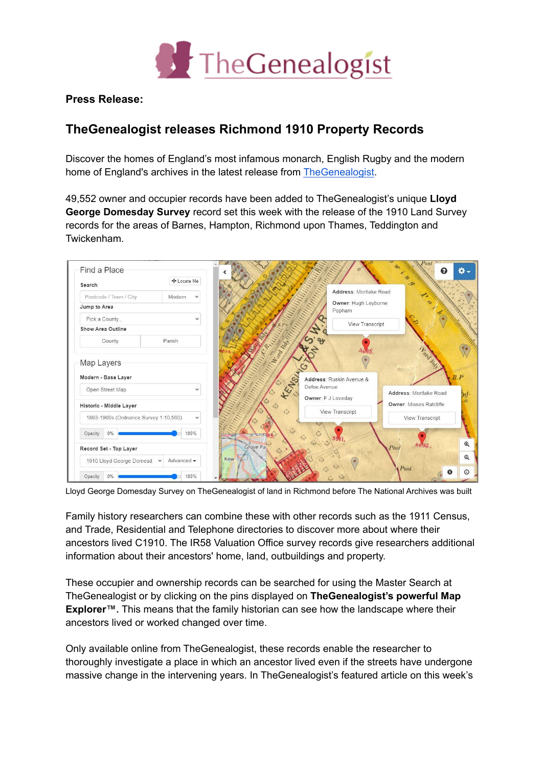

**Press Release:**

## **TheGenealogist releases Richmond 1910 Property Records**

Discover the homes of England's most infamous monarch, English Rugby and the modern home of England's archives in the latest release from [TheGenealogist.](https://www.thegenealogist.co.uk)

49,552 owner and occupier records have been added to TheGenealogist's unique **Lloyd George Domesday Survey** record set this week with the release of the 1910 Land Survey records for the areas of Barnes, Hampton, Richmond upon Thames, Teddington and Twickenham.



Lloyd George Domesday Survey on TheGenealogist of land in Richmond before The National Archives was built

Family history researchers can combine these with other records such as the 1911 Census, and Trade, Residential and Telephone directories to discover more about where their ancestors lived C1910. The IR58 Valuation Office survey records give researchers additional information about their ancestors' home, land, outbuildings and property.

These occupier and ownership records can be searched for using the Master Search at TheGenealogist or by clicking on the pins displayed on **TheGenealogist's powerful Map Explorer™.** This means that the family historian can see how the landscape where their ancestors lived or worked changed over time.

Only available online from TheGenealogist, these records enable the researcher to thoroughly investigate a place in which an ancestor lived even if the streets have undergone massive change in the intervening years. In TheGenealogist's featured article on this week's